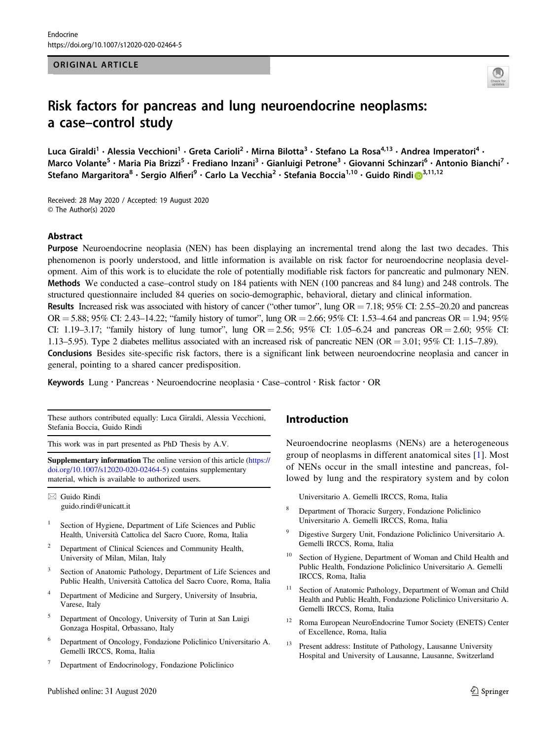#### ORIGINAL ARTICLE



# Risk factors for pancreas and lung neuroendocrine neoplasms: a case–control study

Luca Giraldi<sup>1</sup> • Alessia Vecchioni<sup>1</sup> • Greta Carioli<sup>2</sup> • Mirna Bilotta<sup>3</sup> • Stefano La Rosa<sup>4,13</sup> • Andrea Imperatori<sup>4</sup> • Marco Volante<sup>5</sup> • Maria Pia Brizzi<sup>5</sup> • Frediano Inzani<sup>3</sup> • Gianluigi Petrone<sup>3</sup> • Giovanni Schinzari<sup>6</sup> • Antonio Bianchi<sup>7</sup> • Stefano Margar[i](http://orcid.org/0000-0003-2996-4404)tora<sup>8</sup> • Sergio Alfieri<sup>9</sup> • Carlo La Vecchia<sup>2</sup> • Stefania Boccia<sup>1,10</sup> • Guido Rindi D<sup>[3](http://orcid.org/0000-0003-2996-4404),11,12</sup>

Received: 28 May 2020 / Accepted: 19 August 2020 © The Author(s) 2020

#### Abstract

Purpose Neuroendocrine neoplasia (NEN) has been displaying an incremental trend along the last two decades. This phenomenon is poorly understood, and little information is available on risk factor for neuroendocrine neoplasia development. Aim of this work is to elucidate the role of potentially modifiable risk factors for pancreatic and pulmonary NEN. Methods We conducted a case–control study on 184 patients with NEN (100 pancreas and 84 lung) and 248 controls. The structured questionnaire included 84 queries on socio-demographic, behavioral, dietary and clinical information. Results Increased risk was associated with history of cancer ("other tumor", lung  $OR = 7.18$ ; 95% CI: 2.55–20.20 and pancreas

OR  $=$  5.88; 95% CI: 2.43–14.22; "family history of tumor", lung OR  $=$  2.66; 95% CI: 1.53–4.64 and pancreas OR  $=$  1.94; 95% CI: 1.19–3.17; "family history of lung tumor", lung  $OR = 2.56$ ; 95% CI: 1.05–6.24 and pancreas  $OR = 2.60$ ; 95% CI: 1.13–5.95). Type 2 diabetes mellitus associated with an increased risk of pancreatic NEN (OR = 3.01; 95% CI: 1.15–7.89). Conclusions Besides site-specific risk factors, there is a significant link between neuroendocrine neoplasia and cancer in

general, pointing to a shared cancer predisposition.

Keywords Lung · Pancreas · Neuroendocrine neoplasia · Case-control · Risk factor · OR

These authors contributed equally: Luca Giraldi, Alessia Vecchioni, Stefania Boccia, Guido Rindi

This work was in part presented as PhD Thesis by A.V.

Supplementary information The online version of this article ([https://](https://doi.org/10.1007/s12020-020-02464-5) [doi.org/10.1007/s12020-020-02464-5\)](https://doi.org/10.1007/s12020-020-02464-5) contains supplementary material, which is available to authorized users.

 $\boxtimes$  Guido Rindi [guido.rindi@unicatt.it](mailto:guido.rindi@unicatt.it)

- <sup>1</sup> Section of Hygiene, Department of Life Sciences and Public Health, Università Cattolica del Sacro Cuore, Roma, Italia
- <sup>2</sup> Department of Clinical Sciences and Community Health, University of Milan, Milan, Italy
- <sup>3</sup> Section of Anatomic Pathology, Department of Life Sciences and Public Health, Università Cattolica del Sacro Cuore, Roma, Italia
- <sup>4</sup> Department of Medicine and Surgery, University of Insubria, Varese, Italy
- <sup>5</sup> Department of Oncology, University of Turin at San Luigi Gonzaga Hospital, Orbassano, Italy
- <sup>6</sup> Department of Oncology, Fondazione Policlinico Universitario A. Gemelli IRCCS, Roma, Italia
- <sup>7</sup> Department of Endocrinology, Fondazione Policlinico

#### Published online: 31 August 2020

# Introduction

Neuroendocrine neoplasms (NENs) are a heterogeneous group of neoplasms in different anatomical sites [[1\]](#page-7-0). Most of NENs occur in the small intestine and pancreas, followed by lung and the respiratory system and by colon

Universitario A. Gemelli IRCCS, Roma, Italia

- <sup>8</sup> Department of Thoracic Surgery, Fondazione Policlinico Universitario A. Gemelli IRCCS, Roma, Italia
- <sup>9</sup> Digestive Surgery Unit, Fondazione Policlinico Universitario A. Gemelli IRCCS, Roma, Italia
- <sup>10</sup> Section of Hygiene, Department of Woman and Child Health and Public Health, Fondazione Policlinico Universitario A. Gemelli IRCCS, Roma, Italia
- <sup>11</sup> Section of Anatomic Pathology, Department of Woman and Child Health and Public Health, Fondazione Policlinico Universitario A. Gemelli IRCCS, Roma, Italia
- <sup>12</sup> Roma European NeuroEndocrine Tumor Society (ENETS) Center of Excellence, Roma, Italia
- Present address: Institute of Pathology, Lausanne University Hospital and University of Lausanne, Lausanne, Switzerland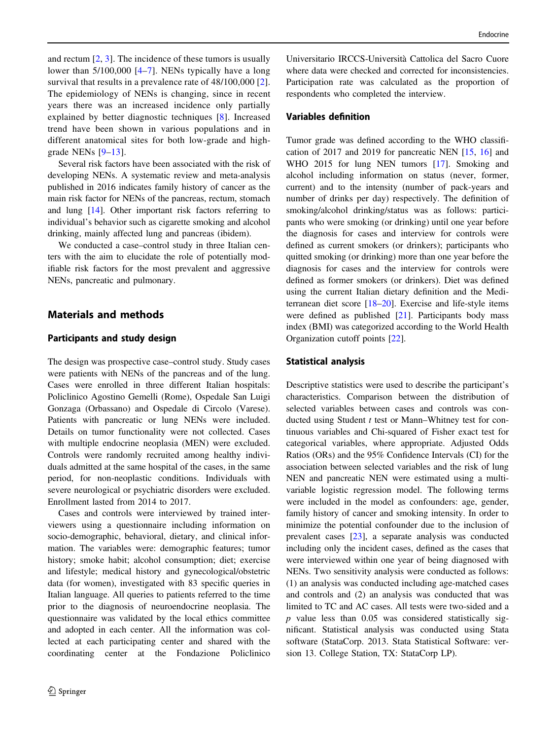and rectum  $[2, 3]$  $[2, 3]$  $[2, 3]$  $[2, 3]$  $[2, 3]$ . The incidence of these tumors is usually lower than 5/100,000 [\[4](#page-7-0)–[7\]](#page-7-0). NENs typically have a long survival that results in a prevalence rate of  $48/100,000$  [[2](#page-7-0)]. The epidemiology of NENs is changing, since in recent years there was an increased incidence only partially explained by better diagnostic techniques [[8\]](#page-7-0). Increased trend have been shown in various populations and in different anatomical sites for both low-grade and highgrade NENs [[9](#page-7-0)–[13](#page-7-0)].

Several risk factors have been associated with the risk of developing NENs. A systematic review and meta-analysis published in 2016 indicates family history of cancer as the main risk factor for NENs of the pancreas, rectum, stomach and lung [[14\]](#page-7-0). Other important risk factors referring to individual's behavior such as cigarette smoking and alcohol drinking, mainly affected lung and pancreas (ibidem).

We conducted a case–control study in three Italian centers with the aim to elucidate the role of potentially modifiable risk factors for the most prevalent and aggressive NENs, pancreatic and pulmonary.

# Materials and methods

### Participants and study design

The design was prospective case–control study. Study cases were patients with NENs of the pancreas and of the lung. Cases were enrolled in three different Italian hospitals: Policlinico Agostino Gemelli (Rome), Ospedale San Luigi Gonzaga (Orbassano) and Ospedale di Circolo (Varese). Patients with pancreatic or lung NENs were included. Details on tumor functionality were not collected. Cases with multiple endocrine neoplasia (MEN) were excluded. Controls were randomly recruited among healthy individuals admitted at the same hospital of the cases, in the same period, for non-neoplastic conditions. Individuals with severe neurological or psychiatric disorders were excluded. Enrollment lasted from 2014 to 2017.

Cases and controls were interviewed by trained interviewers using a questionnaire including information on socio-demographic, behavioral, dietary, and clinical information. The variables were: demographic features; tumor history; smoke habit; alcohol consumption; diet; exercise and lifestyle; medical history and gynecological/obstetric data (for women), investigated with 83 specific queries in Italian language. All queries to patients referred to the time prior to the diagnosis of neuroendocrine neoplasia. The questionnaire was validated by the local ethics committee and adopted in each center. All the information was collected at each participating center and shared with the coordinating center at the Fondazione Policlinico

Universitario IRCCS-Università Cattolica del Sacro Cuore where data were checked and corrected for inconsistencies. Participation rate was calculated as the proportion of respondents who completed the interview.

#### Variables definition

Tumor grade was defined according to the WHO classification of 2017 and 2019 for pancreatic NEN [\[15](#page-7-0), [16](#page-7-0)] and WHO 2015 for lung NEN tumors [\[17](#page-7-0)]. Smoking and alcohol including information on status (never, former, current) and to the intensity (number of pack-years and number of drinks per day) respectively. The definition of smoking/alcohol drinking/status was as follows: participants who were smoking (or drinking) until one year before the diagnosis for cases and interview for controls were defined as current smokers (or drinkers); participants who quitted smoking (or drinking) more than one year before the diagnosis for cases and the interview for controls were defined as former smokers (or drinkers). Diet was defined using the current Italian dietary definition and the Mediterranean diet score [\[18](#page-7-0)–[20](#page-7-0)]. Exercise and life-style items were defined as published [\[21](#page-7-0)]. Participants body mass index (BMI) was categorized according to the World Health Organization cutoff points [[22\]](#page-7-0).

# Statistical analysis

Descriptive statistics were used to describe the participant's characteristics. Comparison between the distribution of selected variables between cases and controls was conducted using Student  $t$  test or Mann–Whitney test for continuous variables and Chi-squared of Fisher exact test for categorical variables, where appropriate. Adjusted Odds Ratios (ORs) and the 95% Confidence Intervals (CI) for the association between selected variables and the risk of lung NEN and pancreatic NEN were estimated using a multivariable logistic regression model. The following terms were included in the model as confounders: age, gender, family history of cancer and smoking intensity. In order to minimize the potential confounder due to the inclusion of prevalent cases [\[23](#page-7-0)], a separate analysis was conducted including only the incident cases, defined as the cases that were interviewed within one year of being diagnosed with NENs. Two sensitivity analysis were conducted as follows: (1) an analysis was conducted including age-matched cases and controls and (2) an analysis was conducted that was limited to TC and AC cases. All tests were two-sided and a  $p$  value less than 0.05 was considered statistically significant. Statistical analysis was conducted using Stata software (StataCorp. 2013. Stata Statistical Software: version 13. College Station, TX: StataCorp LP).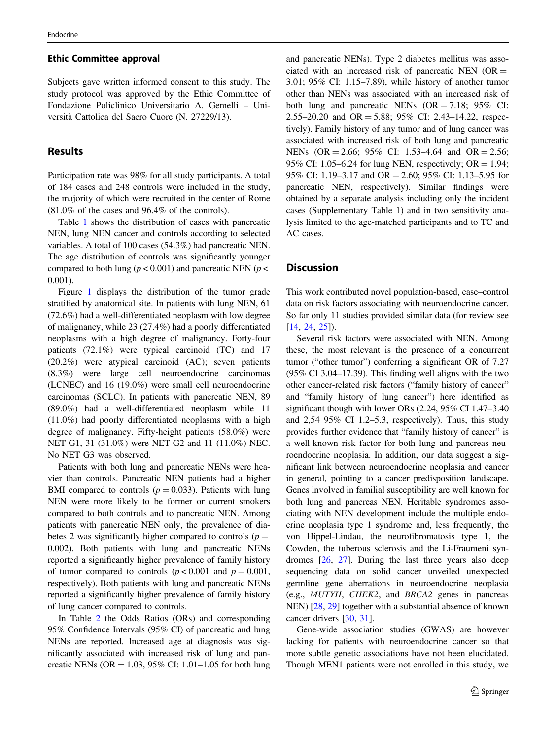#### Ethic Committee approval

Subjects gave written informed consent to this study. The study protocol was approved by the Ethic Committee of Fondazione Policlinico Universitario A. Gemelli – Università Cattolica del Sacro Cuore (N. 27229/13).

# **Results**

Participation rate was 98% for all study participants. A total of 184 cases and 248 controls were included in the study, the majority of which were recruited in the center of Rome (81.0% of the cases and 96.4% of the controls).

Table [1](#page-3-0) shows the distribution of cases with pancreatic NEN, lung NEN cancer and controls according to selected variables. A total of 100 cases (54.3%) had pancreatic NEN. The age distribution of controls was significantly younger compared to both lung ( $p < 0.001$ ) and pancreatic NEN ( $p <$ 0.001).

Figure [1](#page-5-0) displays the distribution of the tumor grade stratified by anatomical site. In patients with lung NEN, 61 (72.6%) had a well-differentiated neoplasm with low degree of malignancy, while 23 (27.4%) had a poorly differentiated neoplasms with a high degree of malignancy. Forty-four patients (72.1%) were typical carcinoid (TC) and 17 (20.2%) were atypical carcinoid (AC); seven patients (8.3%) were large cell neuroendocrine carcinomas (LCNEC) and 16 (19.0%) were small cell neuroendocrine carcinomas (SCLC). In patients with pancreatic NEN, 89 (89.0%) had a well-differentiated neoplasm while 11 (11.0%) had poorly differentiated neoplasms with a high degree of malignancy. Fifty-height patients (58.0%) were NET G1, 31 (31.0%) were NET G2 and 11 (11.0%) NEC. No NET G3 was observed.

Patients with both lung and pancreatic NENs were heavier than controls. Pancreatic NEN patients had a higher BMI compared to controls ( $p = 0.033$ ). Patients with lung NEN were more likely to be former or current smokers compared to both controls and to pancreatic NEN. Among patients with pancreatic NEN only, the prevalence of diabetes 2 was significantly higher compared to controls ( $p =$ 0.002). Both patients with lung and pancreatic NENs reported a significantly higher prevalence of family history of tumor compared to controls  $(p < 0.001$  and  $p = 0.001$ , respectively). Both patients with lung and pancreatic NENs reported a significantly higher prevalence of family history of lung cancer compared to controls.

In Table [2](#page-5-0) the Odds Ratios (ORs) and corresponding 95% Confidence Intervals (95% CI) of pancreatic and lung NENs are reported. Increased age at diagnosis was significantly associated with increased risk of lung and pancreatic NENs (OR =  $1.03$ , 95% CI:  $1.01-1.05$  for both lung and pancreatic NENs). Type 2 diabetes mellitus was associated with an increased risk of pancreatic NEN ( $OR =$ 3.01; 95% CI: 1.15–7.89), while history of another tumor other than NENs was associated with an increased risk of both lung and pancreatic NENs  $(OR = 7.18; 95\% \text{ CI:})$ 2.55–20.20 and OR = 5.88; 95% CI: 2.43–14.22, respectively). Family history of any tumor and of lung cancer was associated with increased risk of both lung and pancreatic NENs (OR = 2.66; 95% CI: 1.53–4.64 and OR = 2.56; 95% CI: 1.05–6.24 for lung NEN, respectively; OR = 1.94; 95% CI: 1.19–3.17 and OR = 2.60; 95% CI: 1.13–5.95 for pancreatic NEN, respectively). Similar findings were obtained by a separate analysis including only the incident cases (Supplementary Table 1) and in two sensitivity analysis limited to the age-matched participants and to TC and AC cases.

# **Discussion**

This work contributed novel population-based, case–control data on risk factors associating with neuroendocrine cancer. So far only 11 studies provided similar data (for review see [\[14](#page-7-0), [24](#page-7-0), [25\]](#page-7-0)).

Several risk factors were associated with NEN. Among these, the most relevant is the presence of a concurrent tumor ("other tumor") conferring a significant OR of 7.27 (95% CI 3.04–17.39). This finding well aligns with the two other cancer-related risk factors ("family history of cancer" and "family history of lung cancer") here identified as significant though with lower ORs (2.24, 95% CI 1.47–3.40 and 2,54 95% CI 1.2–5.3, respectively). Thus, this study provides further evidence that "family history of cancer" is a well-known risk factor for both lung and pancreas neuroendocrine neoplasia. In addition, our data suggest a significant link between neuroendocrine neoplasia and cancer in general, pointing to a cancer predisposition landscape. Genes involved in familial susceptibility are well known for both lung and pancreas NEN. Heritable syndromes associating with NEN development include the multiple endocrine neoplasia type 1 syndrome and, less frequently, the von Hippel-Lindau, the neurofibromatosis type 1, the Cowden, the tuberous sclerosis and the Li-Fraumeni syndromes [[26,](#page-7-0) [27\]](#page-8-0). During the last three years also deep sequencing data on solid cancer unveiled unexpected germline gene aberrations in neuroendocrine neoplasia (e.g., MUTYH, CHEK2, and BRCA2 genes in pancreas NEN) [\[28](#page-8-0), [29](#page-8-0)] together with a substantial absence of known cancer drivers [\[30,](#page-8-0) [31\]](#page-8-0).

Gene-wide association studies (GWAS) are however lacking for patients with neuroendocrine cancer so that more subtle genetic associations have not been elucidated. Though MEN1 patients were not enrolled in this study, we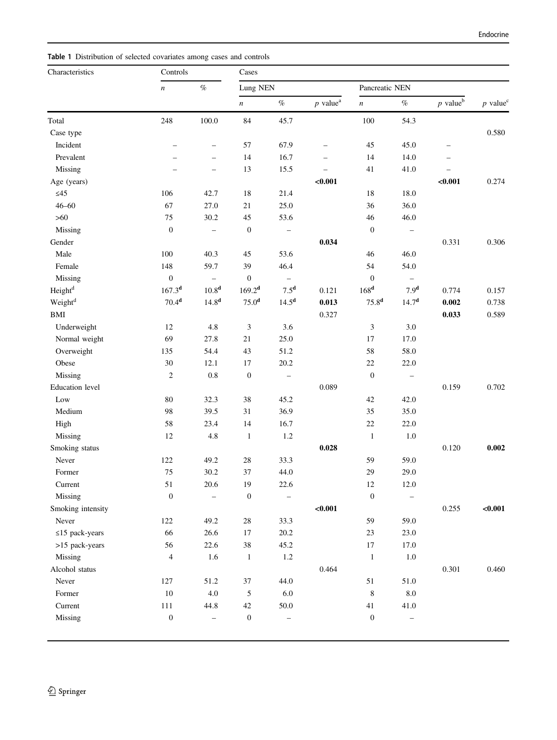<span id="page-3-0"></span>

|  | <b>Table 1</b> Distribution of selected covariates among cases and controls |  |  |  |  |  |  |  |  |
|--|-----------------------------------------------------------------------------|--|--|--|--|--|--|--|--|
|--|-----------------------------------------------------------------------------|--|--|--|--|--|--|--|--|

| Characteristics        | Controls                 |                          | Cases             |                          |                          |                  |                          |                        |                        |
|------------------------|--------------------------|--------------------------|-------------------|--------------------------|--------------------------|------------------|--------------------------|------------------------|------------------------|
|                        | $\boldsymbol{n}$         | $\%$                     | Lung NEN          |                          |                          | Pancreatic NEN   |                          |                        |                        |
|                        |                          |                          | $\boldsymbol{n}$  | $\%$                     | $p$ value <sup>a</sup>   | $\boldsymbol{n}$ | $\%$                     | $p$ value <sup>b</sup> | $p$ value <sup>c</sup> |
| Total                  | 248                      | $100.0\,$                | 84                | 45.7                     |                          | 100              | 54.3                     |                        |                        |
| Case type              |                          |                          |                   |                          |                          |                  |                          |                        | 0.580                  |
| Incident               | $\qquad \qquad -$        | $\overline{\phantom{0}}$ | 57                | 67.9                     | $\qquad \qquad -$        | 45               | 45.0                     | $\qquad \qquad -$      |                        |
| Prevalent              |                          | $\overline{\phantom{0}}$ | 14                | 16.7                     | $\overline{\phantom{0}}$ | 14               | 14.0                     |                        |                        |
| Missing                |                          | $\overline{\phantom{0}}$ | 13                | 15.5                     | $\overline{\phantom{0}}$ | 41               | 41.0                     |                        |                        |
| Age (years)            |                          |                          |                   |                          | $0.001$                  |                  |                          | $0.001$                | 0.274                  |
| $\leq45$               | 106                      | 42.7                     | 18                | 21.4                     |                          | 18               | 18.0                     |                        |                        |
| $46 - 60$              | 67                       | 27.0                     | 21                | 25.0                     |                          | 36               | 36.0                     |                        |                        |
| $>60$                  | $75\,$                   | 30.2                     | $45\,$            | 53.6                     |                          | 46               | 46.0                     |                        |                        |
| Missing                | $\boldsymbol{0}$         | $\overline{\phantom{0}}$ | $\boldsymbol{0}$  | -                        |                          | $\boldsymbol{0}$ |                          |                        |                        |
| Gender                 |                          |                          |                   |                          | 0.034                    |                  |                          | 0.331                  | 0.306                  |
| Male                   | $100\,$                  | 40.3                     | 45                | 53.6                     |                          | 46               | 46.0                     |                        |                        |
| Female                 | 148                      | 59.7                     | 39                | 46.4                     |                          | 54               | 54.0                     |                        |                        |
| Missing                | $\boldsymbol{0}$         | $\qquad \qquad -$        | $\boldsymbol{0}$  | $\overline{\phantom{a}}$ |                          | $\boldsymbol{0}$ | $\overline{\phantom{m}}$ |                        |                        |
| Height <sup>d</sup>    | $167.3^{d}$              | 10.8 <sup>d</sup>        | $169.2^d$         | $7.5^{\rm d}$            | 0.121                    | 168 <sup>d</sup> | 7.9 <sup>d</sup>         | 0.774                  | 0.157                  |
| Weight <sup>d</sup>    | 70.4 <sup>d</sup>        | 14.8 <sup>d</sup>        | 75.0 <sup>d</sup> | 14.5 <sup>d</sup>        | 0.013                    | $75.8^{d}$       | 14.7 <sup>d</sup>        | 0.002                  | 0.738                  |
| $\operatorname{BMI}$   |                          |                          |                   |                          | 0.327                    |                  |                          | 0.033                  | 0.589                  |
| Underweight            | 12                       | 4.8                      | 3                 | 3.6                      |                          | 3                | $3.0\,$                  |                        |                        |
| Normal weight          | 69                       | 27.8                     | 21                | 25.0                     |                          | 17               | 17.0                     |                        |                        |
| Overweight             | 135                      | 54.4                     | 43                | 51.2                     |                          | 58               | 58.0                     |                        |                        |
| Obese                  | 30                       | 12.1                     | $17\,$            | 20.2                     |                          | 22               | 22.0                     |                        |                        |
| Missing                | $\boldsymbol{2}$         | 0.8                      | $\boldsymbol{0}$  | $\overline{\phantom{0}}$ |                          | $\boldsymbol{0}$ | $\overline{\phantom{a}}$ |                        |                        |
| <b>Education</b> level |                          |                          |                   |                          | 0.089                    |                  |                          | 0.159                  | 0.702                  |
| Low                    | $80\,$                   | 32.3                     | $38\,$            | 45.2                     |                          | 42               | 42.0                     |                        |                        |
| Medium                 | 98                       | 39.5                     | 31                | 36.9                     |                          | 35               | 35.0                     |                        |                        |
| High                   | 58                       | 23.4                     | 14                | 16.7                     |                          | 22               | 22.0                     |                        |                        |
| Missing                | $12\,$                   | 4.8                      | $\mathbf{1}$      | $1.2\,$                  |                          | $\mathbf{1}$     | $1.0\,$                  |                        |                        |
| Smoking status         |                          |                          |                   |                          | 0.028                    |                  |                          | 0.120                  | 0.002                  |
| Never                  | 122                      | 49.2                     | $28\,$            | 33.3                     |                          | 59               | 59.0                     |                        |                        |
| Former                 | 75                       | 30.2                     | 37                | 44.0                     |                          | 29               | 29.0                     |                        |                        |
| Current                | 51                       | 20.6                     | 19                | 22.6                     |                          | 12               | 12.0                     |                        |                        |
| Missing                | $\boldsymbol{0}$         | $\overline{\phantom{0}}$ | $\boldsymbol{0}$  | $\overline{\phantom{0}}$ |                          | $\boldsymbol{0}$ |                          |                        |                        |
| Smoking intensity      |                          |                          |                   |                          | $0.001$                  |                  |                          | 0.255                  | $0.001$                |
| Never                  | 122                      | 49.2                     | $28\,$            | 33.3                     |                          | 59               | 59.0                     |                        |                        |
| $\leq$ 15 pack-years   | 66                       | 26.6                     | $17\,$            | 20.2                     |                          | $23\,$           | 23.0                     |                        |                        |
| >15 pack-years         | 56                       | 22.6                     | $38\,$            | 45.2                     |                          | $17\,$           | 17.0                     |                        |                        |
| Missing                | $\overline{\mathcal{L}}$ | 1.6                      | $\mathbf{1}$      | $1.2\,$                  |                          | $\mathbf{1}$     | $1.0\,$                  |                        |                        |
| Alcohol status         |                          |                          |                   |                          | 0.464                    |                  |                          | 0.301                  | 0.460                  |
| Never                  | 127                      | 51.2                     | $37\,$            | 44.0                     |                          | 51               | 51.0                     |                        |                        |
| Former                 | $10\,$                   | $4.0\,$                  | 5                 | $6.0\,$                  |                          | $\,8\,$          | $8.0\,$                  |                        |                        |
| Current                | 111                      | 44.8                     | $42\,$            | $50.0\,$                 |                          | 41               | 41.0                     |                        |                        |
| Missing                | $\boldsymbol{0}$         |                          | $\boldsymbol{0}$  |                          |                          | $\boldsymbol{0}$ |                          |                        |                        |
|                        |                          |                          |                   |                          |                          |                  |                          |                        |                        |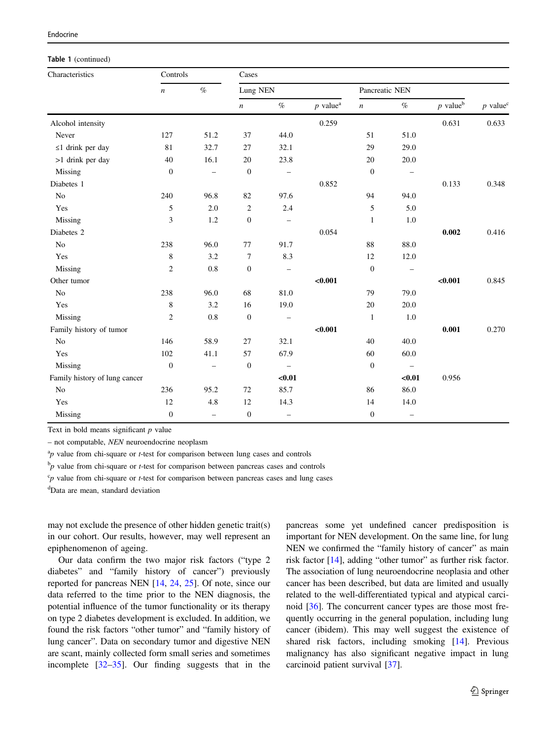#### Table 1 (continued)

| Characteristics               | Controls         |                          | Cases            |                          |                        |                  |                          |                        |                        |  |
|-------------------------------|------------------|--------------------------|------------------|--------------------------|------------------------|------------------|--------------------------|------------------------|------------------------|--|
|                               | $\boldsymbol{n}$ | $\%$                     | Lung NEN         |                          |                        | Pancreatic NEN   |                          |                        |                        |  |
|                               |                  |                          | $\boldsymbol{n}$ | $\%$                     | $p$ value <sup>a</sup> | $\boldsymbol{n}$ | $\%$                     | $p$ value <sup>b</sup> | $p$ value <sup>c</sup> |  |
| Alcohol intensity             |                  |                          |                  |                          | 0.259                  |                  |                          | 0.631                  | 0.633                  |  |
| Never                         | 127              | 51.2                     | 37               | 44.0                     |                        | 51               | 51.0                     |                        |                        |  |
| $\leq 1$ drink per day        | 81               | 32.7                     | 27               | 32.1                     |                        | 29               | 29.0                     |                        |                        |  |
| >1 drink per day              | 40               | 16.1                     | 20               | 23.8                     |                        | 20               | 20.0                     |                        |                        |  |
| Missing                       | $\boldsymbol{0}$ |                          | $\boldsymbol{0}$ | $\overline{\phantom{0}}$ |                        | $\mathbf{0}$     | $\overline{\phantom{0}}$ |                        |                        |  |
| Diabetes 1                    |                  |                          |                  |                          | 0.852                  |                  |                          | 0.133                  | 0.348                  |  |
| N <sub>o</sub>                | 240              | 96.8                     | 82               | 97.6                     |                        | 94               | 94.0                     |                        |                        |  |
| Yes                           | 5                | 2.0                      | $\overline{c}$   | 2.4                      |                        | 5                | 5.0                      |                        |                        |  |
| Missing                       | 3                | 1.2                      | $\boldsymbol{0}$ | $\qquad \qquad -$        |                        | 1                | 1.0                      |                        |                        |  |
| Diabetes 2                    |                  |                          |                  |                          | 0.054                  |                  |                          | 0.002                  | 0.416                  |  |
| $\rm No$                      | 238              | 96.0                     | 77               | 91.7                     |                        | 88               | 88.0                     |                        |                        |  |
| Yes                           | $\,8\,$          | 3.2                      | $\overline{7}$   | 8.3                      |                        | 12               | 12.0                     |                        |                        |  |
| Missing                       | $\overline{2}$   | $0.8\,$                  | $\boldsymbol{0}$ | $\overline{\phantom{0}}$ |                        | $\mathbf{0}$     | $\qquad \qquad -$        |                        |                        |  |
| Other tumor                   |                  |                          |                  |                          | < 0.001                |                  |                          | $0.001$                | 0.845                  |  |
| No                            | 238              | 96.0                     | 68               | 81.0                     |                        | 79               | 79.0                     |                        |                        |  |
| Yes                           | $\,8\,$          | 3.2                      | 16               | 19.0                     |                        | 20               | 20.0                     |                        |                        |  |
| Missing                       | $\overline{c}$   | $0.8\,$                  | $\boldsymbol{0}$ | $\overline{\phantom{0}}$ |                        | $\mathbf{1}$     | $1.0\,$                  |                        |                        |  |
| Family history of tumor       |                  |                          |                  |                          | < 0.001                |                  |                          | 0.001                  | 0.270                  |  |
| N <sub>o</sub>                | 146              | 58.9                     | 27               | 32.1                     |                        | 40               | 40.0                     |                        |                        |  |
| Yes                           | 102              | 41.1                     | 57               | 67.9                     |                        | 60               | 60.0                     |                        |                        |  |
| Missing                       | $\boldsymbol{0}$ | $\overline{\phantom{0}}$ | $\boldsymbol{0}$ | $\overline{\phantom{m}}$ |                        | $\mathbf{0}$     | $\overline{\phantom{a}}$ |                        |                        |  |
| Family history of lung cancer |                  |                          |                  | $0.01$                   |                        |                  | $0.01$                   | 0.956                  |                        |  |
| No                            | 236              | 95.2                     | $72\,$           | 85.7                     |                        | 86               | 86.0                     |                        |                        |  |
| Yes                           | 12               | 4.8                      | 12               | 14.3                     |                        | 14               | 14.0                     |                        |                        |  |
| Missing                       | $\boldsymbol{0}$ | $\equiv$                 | $\boldsymbol{0}$ | $\qquad \qquad -$        |                        | $\mathbf{0}$     | $\overline{\phantom{a}}$ |                        |                        |  |

Text in bold means significant  $p$  value

– not computable, NEN neuroendocrine neoplasm

 ${}^{a}p$  value from chi-square or *t*-test for comparison between lung cases and controls

 $^{\text{b}}p$  value from chi-square or *t*-test for comparison between pancreas cases and controls

 $c_p$  value from chi-square or *t*-test for comparison between pancreas cases and lung cases

d Data are mean, standard deviation

may not exclude the presence of other hidden genetic trait(s) in our cohort. Our results, however, may well represent an epiphenomenon of ageing.

Our data confirm the two major risk factors ("type 2 diabetes" and "family history of cancer") previously reported for pancreas NEN [\[14](#page-7-0), [24,](#page-7-0) [25](#page-7-0)]. Of note, since our data referred to the time prior to the NEN diagnosis, the potential influence of the tumor functionality or its therapy on type 2 diabetes development is excluded. In addition, we found the risk factors "other tumor" and "family history of lung cancer". Data on secondary tumor and digestive NEN are scant, mainly collected form small series and sometimes incomplete [\[32](#page-8-0)–[35](#page-8-0)]. Our finding suggests that in the pancreas some yet undefined cancer predisposition is important for NEN development. On the same line, for lung NEN we confirmed the "family history of cancer" as main risk factor [[14\]](#page-7-0), adding "other tumor" as further risk factor. The association of lung neuroendocrine neoplasia and other cancer has been described, but data are limited and usually related to the well-differentiated typical and atypical carcinoid [[36](#page-8-0)]. The concurrent cancer types are those most frequently occurring in the general population, including lung cancer (ibidem). This may well suggest the existence of shared risk factors, including smoking [[14\]](#page-7-0). Previous malignancy has also significant negative impact in lung carcinoid patient survival [[37\]](#page-8-0).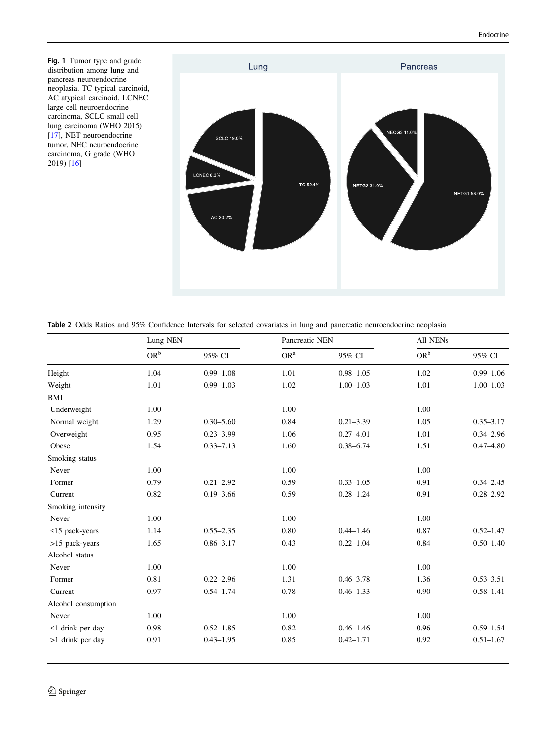<span id="page-5-0"></span>Fig. 1 Tumor type and grade distribution among lung and pancreas neuroendocrine neoplasia. TC typical carcinoid, AC atypical carcinoid, LCNEC large cell neuroendocrine carcinoma, SCLC small cell lung carcinoma (WHO 2015) [[17](#page-7-0)], NET neuroendocrine tumor, NEC neuroendocrine carcinoma, G grade (WHO 2019) [\[16\]](#page-7-0)



Table 2 Odds Ratios and 95% Confidence Intervals for selected covariates in lung and pancreatic neuroendocrine neoplasia

|                        | Lung NEN |               | Pancreatic NEN  |               | All NENs |               |  |
|------------------------|----------|---------------|-----------------|---------------|----------|---------------|--|
|                        | $OR^b$   | 95% CI        | OR <sup>a</sup> | 95% CI        | $OR^b$   | 95% CI        |  |
| Height                 | 1.04     | $0.99 - 1.08$ | 1.01            | $0.98 - 1.05$ | 1.02     | $0.99 - 1.06$ |  |
| Weight                 | 1.01     | $0.99 - 1.03$ | 1.02            | $1.00 - 1.03$ | 1.01     | $1.00 - 1.03$ |  |
| <b>BMI</b>             |          |               |                 |               |          |               |  |
| Underweight            | 1.00     |               | 1.00            |               | 1.00     |               |  |
| Normal weight          | 1.29     | $0.30 - 5.60$ | 0.84            | $0.21 - 3.39$ | 1.05     | $0.35 - 3.17$ |  |
| Overweight             | 0.95     | $0.23 - 3.99$ | 1.06            | $0.27 - 4.01$ | 1.01     | $0.34 - 2.96$ |  |
| Obese                  | 1.54     | $0.33 - 7.13$ | 1.60            | $0.38 - 6.74$ | 1.51     | $0.47 - 4.80$ |  |
| Smoking status         |          |               |                 |               |          |               |  |
| Never                  | 1.00     |               | 1.00            |               | 1.00     |               |  |
| Former                 | 0.79     | $0.21 - 2.92$ | 0.59            | $0.33 - 1.05$ | 0.91     | $0.34 - 2.45$ |  |
| Current                | 0.82     | $0.19 - 3.66$ | 0.59            | $0.28 - 1.24$ | 0.91     | $0.28 - 2.92$ |  |
| Smoking intensity      |          |               |                 |               |          |               |  |
| Never                  | 1.00     |               | 1.00            |               | 1.00     |               |  |
| $\leq$ 15 pack-years   | 1.14     | $0.55 - 2.35$ | 0.80            | $0.44 - 1.46$ | 0.87     | $0.52 - 1.47$ |  |
| $>15$ pack-years       | 1.65     | $0.86 - 3.17$ | 0.43            | $0.22 - 1.04$ | 0.84     | $0.50 - 1.40$ |  |
| Alcohol status         |          |               |                 |               |          |               |  |
| Never                  | 1.00     |               | 1.00            |               | 1.00     |               |  |
| Former                 | 0.81     | $0.22 - 2.96$ | 1.31            | $0.46 - 3.78$ | 1.36     | $0.53 - 3.51$ |  |
| Current                | 0.97     | $0.54 - 1.74$ | 0.78            | $0.46 - 1.33$ | 0.90     | $0.58 - 1.41$ |  |
| Alcohol consumption    |          |               |                 |               |          |               |  |
| Never                  | 1.00     |               | 1.00            |               | 1.00     |               |  |
| $\leq 1$ drink per day | 0.98     | $0.52 - 1.85$ | 0.82            | $0.46 - 1.46$ | 0.96     | $0.59 - 1.54$ |  |
| $>1$ drink per day     | 0.91     | $0.43 - 1.95$ | 0.85            | $0.42 - 1.71$ | 0.92     | $0.51 - 1.67$ |  |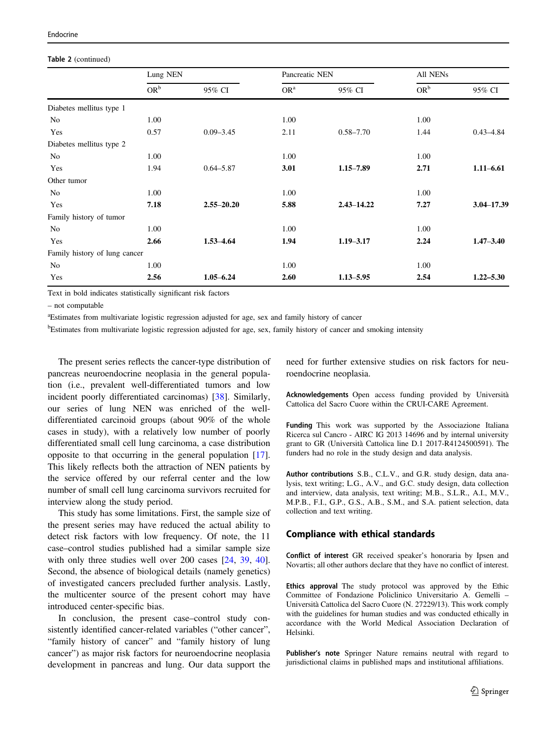#### Table 2 (continued)

|                               | Lung NEN |                | Pancreatic NEN  |                | All NENs |               |
|-------------------------------|----------|----------------|-----------------|----------------|----------|---------------|
|                               | $OR^b$   | 95% CI         | OR <sup>a</sup> | 95% CI         | $OR^b$   | 95% CI        |
| Diabetes mellitus type 1      |          |                |                 |                |          |               |
| No                            | 1.00     |                | 1.00            |                | 1.00     |               |
| Yes                           | 0.57     | $0.09 - 3.45$  | 2.11            | $0.58 - 7.70$  | 1.44     | $0.43 - 4.84$ |
| Diabetes mellitus type 2      |          |                |                 |                |          |               |
| N <sub>o</sub>                | 1.00     |                | 1.00            |                | 1.00     |               |
| Yes                           | 1.94     | $0.64 - 5.87$  | 3.01            | $1.15 - 7.89$  | 2.71     | $1.11 - 6.61$ |
| Other tumor                   |          |                |                 |                |          |               |
| No                            | 1.00     |                | 1.00            |                | 1.00     |               |
| Yes                           | 7.18     | $2.55 - 20.20$ | 5.88            | $2.43 - 14.22$ | 7.27     | 3.04-17.39    |
| Family history of tumor       |          |                |                 |                |          |               |
| No                            | 1.00     |                | 1.00            |                | 1.00     |               |
| Yes                           | 2.66     | $1.53 - 4.64$  | 1.94            | $1.19 - 3.17$  | 2.24     | $1.47 - 3.40$ |
| Family history of lung cancer |          |                |                 |                |          |               |
| N <sub>o</sub>                | 1.00     |                | 1.00            |                | 1.00     |               |
| Yes                           | 2.56     | $1.05 - 6.24$  | 2.60            | $1.13 - 5.95$  | 2.54     | $1,22 - 5,30$ |

Text in bold indicates statistically significant risk factors

– not computable

<sup>a</sup>Estimates from multivariate logistic regression adjusted for age, sex and family history of cancer

b Estimates from multivariate logistic regression adjusted for age, sex, family history of cancer and smoking intensity

The present series reflects the cancer-type distribution of pancreas neuroendocrine neoplasia in the general population (i.e., prevalent well-differentiated tumors and low incident poorly differentiated carcinomas) [\[38](#page-8-0)]. Similarly, our series of lung NEN was enriched of the welldifferentiated carcinoid groups (about 90% of the whole cases in study), with a relatively low number of poorly differentiated small cell lung carcinoma, a case distribution opposite to that occurring in the general population [\[17](#page-7-0)]. This likely reflects both the attraction of NEN patients by the service offered by our referral center and the low number of small cell lung carcinoma survivors recruited for interview along the study period.

This study has some limitations. First, the sample size of the present series may have reduced the actual ability to detect risk factors with low frequency. Of note, the 11 case–control studies published had a similar sample size with only three studies well over 200 cases [\[24](#page-7-0), [39,](#page-8-0) [40](#page-8-0)]. Second, the absence of biological details (namely genetics) of investigated cancers precluded further analysis. Lastly, the multicenter source of the present cohort may have introduced center-specific bias.

In conclusion, the present case–control study consistently identified cancer-related variables ("other cancer", "family history of cancer" and "family history of lung cancer") as major risk factors for neuroendocrine neoplasia development in pancreas and lung. Our data support the need for further extensive studies on risk factors for neuroendocrine neoplasia.

Acknowledgements Open access funding provided by Università Cattolica del Sacro Cuore within the CRUI-CARE Agreement.

Funding This work was supported by the Associazione Italiana Ricerca sul Cancro - AIRC IG 2013 14696 and by internal university grant to GR (Università Cattolica line D.1 2017-R4124500591). The funders had no role in the study design and data analysis.

Author contributions S.B., C.L.V., and G.R. study design, data analysis, text writing; L.G., A.V., and G.C. study design, data collection and interview, data analysis, text writing; M.B., S.L.R., A.I., M.V., M.P.B., F.I., G.P., G.S., A.B., S.M., and S.A. patient selection, data collection and text writing.

#### Compliance with ethical standards

Conflict of interest GR received speaker's honoraria by Ipsen and Novartis; all other authors declare that they have no conflict of interest.

Ethics approval The study protocol was approved by the Ethic Committee of Fondazione Policlinico Universitario A. Gemelli – Università Cattolica del Sacro Cuore (N. 27229/13). This work comply with the guidelines for human studies and was conducted ethically in accordance with the World Medical Association Declaration of Helsinki.

Publisher's note Springer Nature remains neutral with regard to jurisdictional claims in published maps and institutional affiliations.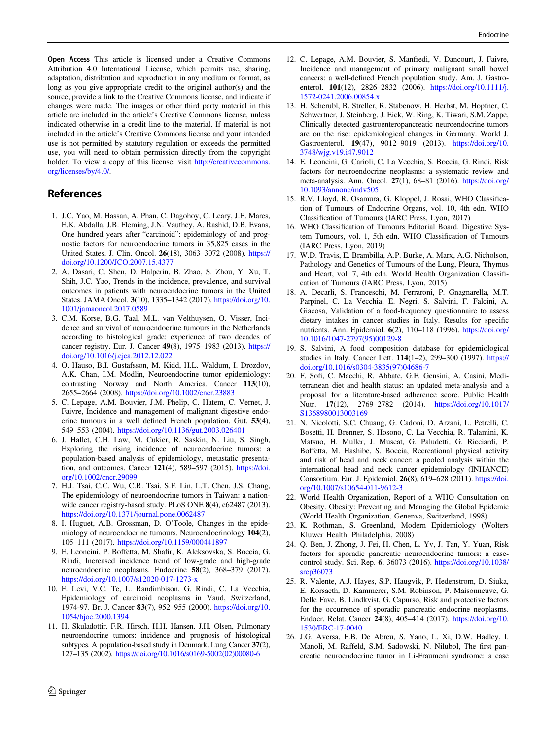<span id="page-7-0"></span>Open Access This article is licensed under a Creative Commons Attribution 4.0 International License, which permits use, sharing, adaptation, distribution and reproduction in any medium or format, as long as you give appropriate credit to the original author(s) and the source, provide a link to the Creative Commons license, and indicate if changes were made. The images or other third party material in this article are included in the article's Creative Commons license, unless indicated otherwise in a credit line to the material. If material is not included in the article's Creative Commons license and your intended use is not permitted by statutory regulation or exceeds the permitted use, you will need to obtain permission directly from the copyright holder. To view a copy of this license, visit [http://creativecommons.](http://creativecommons.org/licenses/by/4.0/) [org/licenses/by/4.0/.](http://creativecommons.org/licenses/by/4.0/)

# References

- 1. J.C. Yao, M. Hassan, A. Phan, C. Dagohoy, C. Leary, J.E. Mares, E.K. Abdalla, J.B. Fleming, J.N. Vauthey, A. Rashid, D.B. Evans, One hundred years after "carcinoid": epidemiology of and prognostic factors for neuroendocrine tumors in 35,825 cases in the United States. J. Clin. Oncol. 26(18), 3063–3072 (2008). [https://](https://doi.org/10.1200/JCO.2007.15.4377) [doi.org/10.1200/JCO.2007.15.4377](https://doi.org/10.1200/JCO.2007.15.4377)
- 2. A. Dasari, C. Shen, D. Halperin, B. Zhao, S. Zhou, Y. Xu, T. Shih, J.C. Yao, Trends in the incidence, prevalence, and survival outcomes in patients with neuroendocrine tumors in the United States. JAMA Oncol. 3(10), 1335–1342 (2017). [https://doi.org/10.](https://doi.org/10.1001/jamaoncol.2017.0589) [1001/jamaoncol.2017.0589](https://doi.org/10.1001/jamaoncol.2017.0589)
- 3. C.M. Korse, B.G. Taal, M.L. van Velthuysen, O. Visser, Incidence and survival of neuroendocrine tumours in the Netherlands according to histological grade: experience of two decades of cancer registry. Eur. J. Cancer 49(8), 1975–1983 (2013). [https://](https://doi.org/10.1016/j.ejca.2012.12.022) [doi.org/10.1016/j.ejca.2012.12.022](https://doi.org/10.1016/j.ejca.2012.12.022)
- 4. O. Hauso, B.I. Gustafsson, M. Kidd, H.L. Waldum, I. Drozdov, A.K. Chan, I.M. Modlin, Neuroendocrine tumor epidemiology: contrasting Norway and North America. Cancer 113(10), 2655–2664 (2008). <https://doi.org/10.1002/cncr.23883>
- 5. C. Lepage, A.M. Bouvier, J.M. Phelip, C. Hatem, C. Vernet, J. Faivre, Incidence and management of malignant digestive endocrine tumours in a well defined French population. Gut. 53(4), 549–553 (2004). <https://doi.org/10.1136/gut.2003.026401>
- 6. J. Hallet, C.H. Law, M. Cukier, R. Saskin, N. Liu, S. Singh, Exploring the rising incidence of neuroendocrine tumors: a population-based analysis of epidemiology, metastatic presentation, and outcomes. Cancer 121(4), 589–597 (2015). [https://doi.](https://doi.org/10.1002/cncr.29099) [org/10.1002/cncr.29099](https://doi.org/10.1002/cncr.29099)
- 7. H.J. Tsai, C.C. Wu, C.R. Tsai, S.F. Lin, L.T. Chen, J.S. Chang, The epidemiology of neuroendocrine tumors in Taiwan: a nationwide cancer registry-based study. PLoS ONE 8(4), e62487 (2013). <https://doi.org/10.1371/journal.pone.0062487>
- 8. I. Huguet, A.B. Grossman, D. O'Toole, Changes in the epidemiology of neuroendocrine tumours. Neuroendocrinology 104(2), 105–111 (2017). <https://doi.org/10.1159/000441897>
- 9. E. Leoncini, P. Boffetta, M. Shafir, K. Aleksovska, S. Boccia, G. Rindi, Increased incidence trend of low-grade and high-grade neuroendocrine neoplasms. Endocrine 58(2), 368–379 (2017). <https://doi.org/10.1007/s12020-017-1273-x>
- 10. F. Levi, V.C. Te, L. Randimbison, G. Rindi, C. La Vecchia, Epidemiology of carcinoid neoplasms in Vaud, Switzerland, 1974-97. Br. J. Cancer 83(7), 952–955 (2000). [https://doi.org/10.](https://doi.org/10.1054/bjoc.2000.1394) [1054/bjoc.2000.1394](https://doi.org/10.1054/bjoc.2000.1394)
- 11. H. Skuladottir, F.R. Hirsch, H.H. Hansen, J.H. Olsen, Pulmonary neuroendocrine tumors: incidence and prognosis of histological subtypes. A population-based study in Denmark. Lung Cancer 37(2), 127–135 (2002). [https://doi.org/10.1016/s0169-5002\(02\)00080-6](https://doi.org/10.1016/s0169-5002(02)00080-6)
- 12. C. Lepage, A.M. Bouvier, S. Manfredi, V. Dancourt, J. Faivre, Incidence and management of primary malignant small bowel cancers: a well-defined French population study. Am. J. Gastroenterol. **101**(12), 2826–2832 (2006). [https://doi.org/10.1111/j.](https://doi.org/10.1111/j.1572-0241.2006.00854.x) [1572-0241.2006.00854.x](https://doi.org/10.1111/j.1572-0241.2006.00854.x)
- 13. H. Scherubl, B. Streller, R. Stabenow, H. Herbst, M. Hopfner, C. Schwertner, J. Steinberg, J. Eick, W. Ring, K. Tiwari, S.M. Zappe, Clinically detected gastroenteropancreatic neuroendocrine tumors are on the rise: epidemiological changes in Germany. World J. Gastroenterol. 19(47), 9012–9019 (2013). [https://doi.org/10.](https://doi.org/10.3748/wjg.v19.i47.9012) [3748/wjg.v19.i47.9012](https://doi.org/10.3748/wjg.v19.i47.9012)
- 14. E. Leoncini, G. Carioli, C. La Vecchia, S. Boccia, G. Rindi, Risk factors for neuroendocrine neoplasms: a systematic review and meta-analysis. Ann. Oncol. 27(1), 68–81 (2016). [https://doi.org/](https://doi.org/10.1093/annonc/mdv505) [10.1093/annonc/mdv505](https://doi.org/10.1093/annonc/mdv505)
- 15. R.V. Lloyd, R. Osamura, G. Kloppel, J. Rosai, WHO Classification of Tumours of Endocrine Organs, vol. 10, 4th edn. WHO Classification of Tumours (IARC Press, Lyon, 2017)
- 16. WHO Classification of Tumours Editorial Board. Digestive System Tumours, vol. 1, 5th edn. WHO Classification of Tumours (IARC Press, Lyon, 2019)
- 17. W.D. Travis, E. Brambilla, A.P. Burke, A. Marx, A.G. Nicholson, Pathology and Genetics of Tumours of the Lung, Pleura, Thymus and Heart, vol. 7, 4th edn. World Health Organization Classification of Tumours (IARC Press, Lyon, 2015)
- 18. A. Decarli, S. Franceschi, M. Ferraroni, P. Gnagnarella, M.T. Parpinel, C. La Vecchia, E. Negri, S. Salvini, F. Falcini, A. Giacosa, Validation of a food-frequency questionnaire to assess dietary intakes in cancer studies in Italy. Results for specific nutrients. Ann. Epidemiol. 6(2), 110–118 (1996). [https://doi.org/](https://doi.org/10.1016/1047-2797(95)00129-8) [10.1016/1047-2797\(95\)00129-8](https://doi.org/10.1016/1047-2797(95)00129-8)
- 19. S. Salvini, A food composition database for epidemiological studies in Italy. Cancer Lett. 114(1–2), 299–300 (1997). [https://](https://doi.org/10.1016/s0304-3835(97)04686-7) [doi.org/10.1016/s0304-3835\(97\)04686-7](https://doi.org/10.1016/s0304-3835(97)04686-7)
- 20. F. Sofi, C. Macchi, R. Abbate, G.F. Gensini, A. Casini, Mediterranean diet and health status: an updated meta-analysis and a proposal for a literature-based adherence score. Public Health Nutr. 17(12), 2769-2782 (2014). [https://doi.org/10.1017/](https://doi.org/10.1017/S1368980013003169) [S1368980013003169](https://doi.org/10.1017/S1368980013003169)
- 21. N. Nicolotti, S.C. Chuang, G. Cadoni, D. Arzani, L. Petrelli, C. Bosetti, H. Brenner, S. Hosono, C. La Vecchia, R. Talamini, K. Matsuo, H. Muller, J. Muscat, G. Paludetti, G. Ricciardi, P. Boffetta, M. Hashibe, S. Boccia, Recreational physical activity and risk of head and neck cancer: a pooled analysis within the international head and neck cancer epidemiology (INHANCE) Consortium. Eur. J. Epidemiol. 26(8), 619–628 (2011). [https://doi.](https://doi.org/10.1007/s10654-011-9612-3) [org/10.1007/s10654-011-9612-3](https://doi.org/10.1007/s10654-011-9612-3)
- 22. World Health Organization, Report of a WHO Consultation on Obesity. Obesity: Preventing and Managing the Global Epidemic (World Health Organization, Genenva, Switzerland, 1998)
- 23. K. Rothman, S. Greenland, Modern Epidemiology (Wolters Kluwer Health, Philadelphia, 2008)
- 24. Q. Ben, J. Zhong, J. Fei, H. Chen, L. Yv, J. Tan, Y. Yuan, Risk factors for sporadic pancreatic neuroendocrine tumors: a casecontrol study. Sci. Rep. 6, 36073 (2016). [https://doi.org/10.1038/](https://doi.org/10.1038/srep36073) [srep36073](https://doi.org/10.1038/srep36073)
- 25. R. Valente, A.J. Hayes, S.P. Haugvik, P. Hedenstrom, D. Siuka, E. Korsaeth, D. Kammerer, S.M. Robinson, P. Maisonneuve, G. Delle Fave, B. Lindkvist, G. Capurso, Risk and protective factors for the occurrence of sporadic pancreatic endocrine neoplasms. Endocr. Relat. Cancer 24(8), 405–414 (2017). [https://doi.org/10.](https://doi.org/10.1530/ERC-17-0040) [1530/ERC-17-0040](https://doi.org/10.1530/ERC-17-0040)
- 26. J.G. Aversa, F.B. De Abreu, S. Yano, L. Xi, D.W. Hadley, I. Manoli, M. Raffeld, S.M. Sadowski, N. Nilubol, The first pancreatic neuroendocrine tumor in Li-Fraumeni syndrome: a case